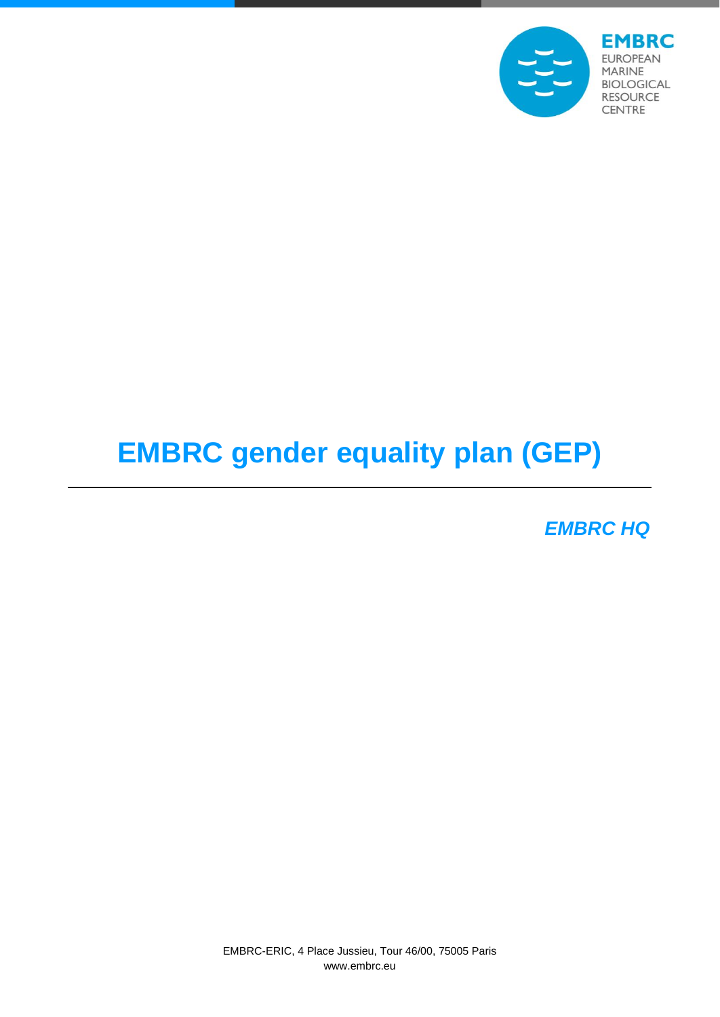

# **EMBRC gender equality plan (GEP)**

*EMBRC HQ*

EMBRC-ERIC, 4 Place Jussieu, Tour 46/00, 75005 Paris www.embrc.eu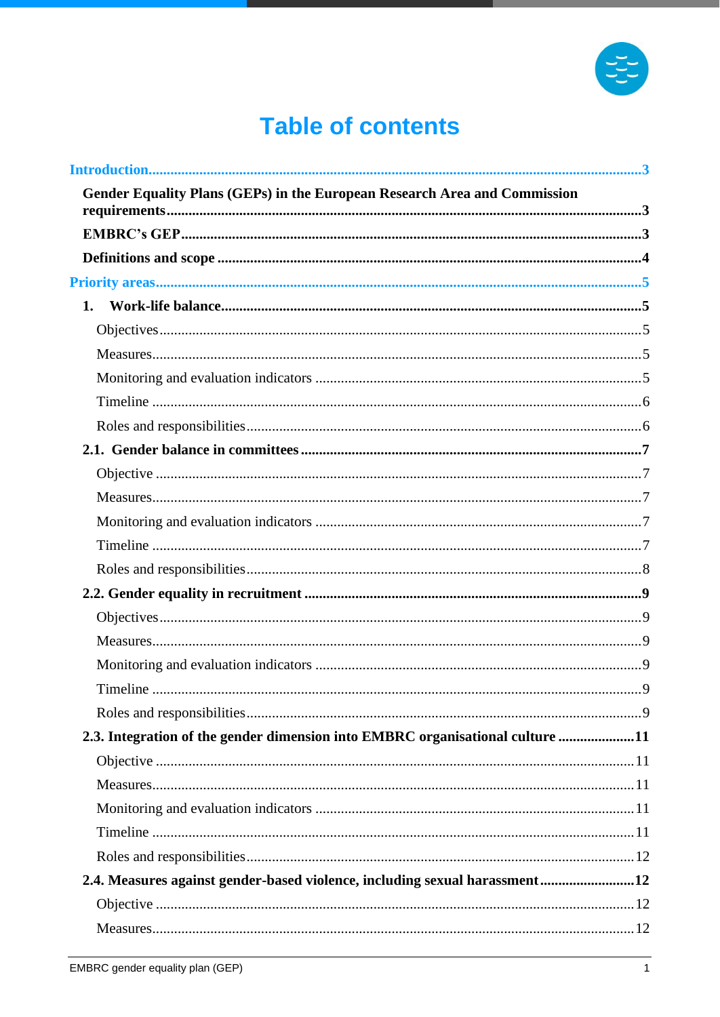

# **Table of contents**

| Gender Equality Plans (GEPs) in the European Research Area and Commission     |  |
|-------------------------------------------------------------------------------|--|
|                                                                               |  |
|                                                                               |  |
|                                                                               |  |
|                                                                               |  |
|                                                                               |  |
|                                                                               |  |
|                                                                               |  |
|                                                                               |  |
|                                                                               |  |
|                                                                               |  |
|                                                                               |  |
|                                                                               |  |
|                                                                               |  |
|                                                                               |  |
|                                                                               |  |
|                                                                               |  |
|                                                                               |  |
|                                                                               |  |
|                                                                               |  |
|                                                                               |  |
|                                                                               |  |
| 2.3. Integration of the gender dimension into EMBRC organisational culture 11 |  |
|                                                                               |  |
|                                                                               |  |
|                                                                               |  |
|                                                                               |  |
|                                                                               |  |
| 2.4. Measures against gender-based violence, including sexual harassment12    |  |
|                                                                               |  |
|                                                                               |  |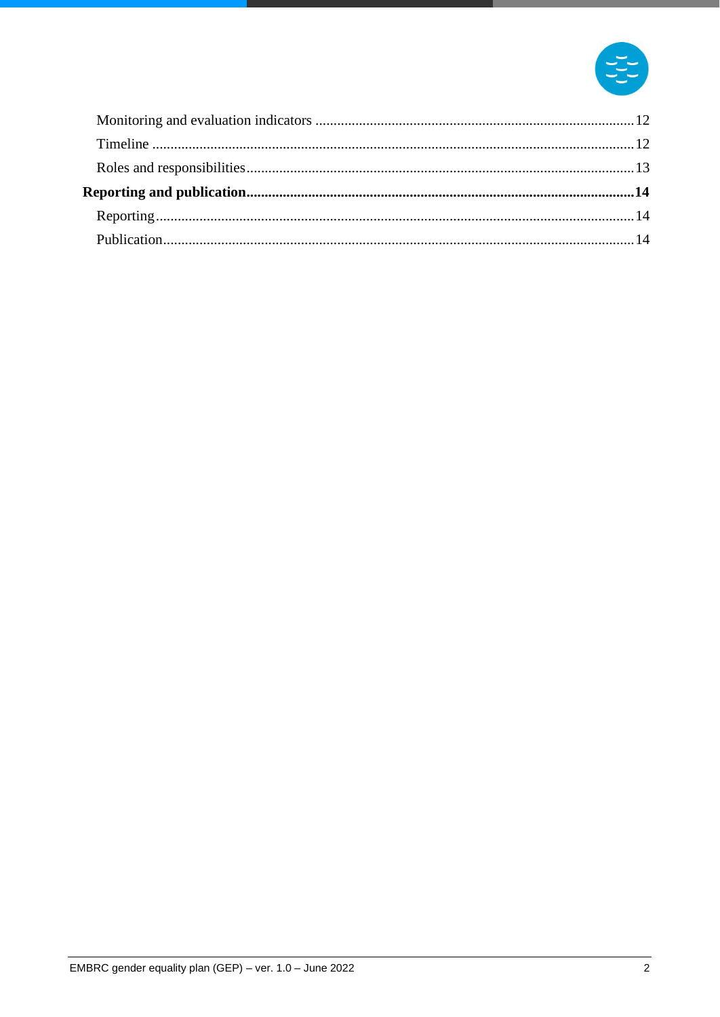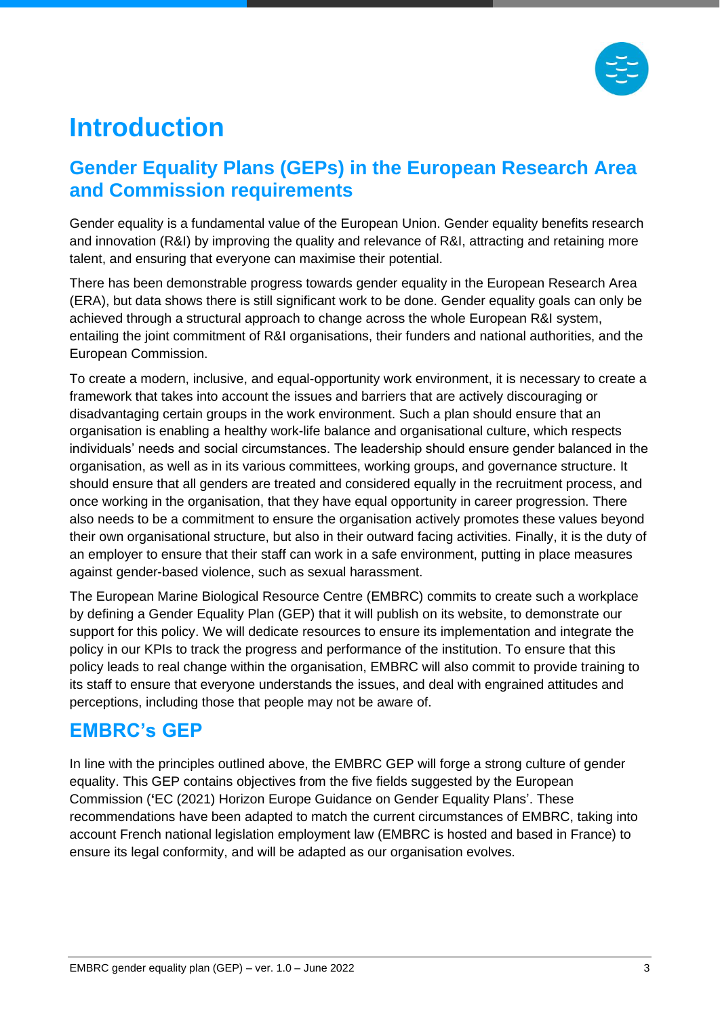

# <span id="page-3-0"></span>**Introduction**

# <span id="page-3-1"></span>**Gender Equality Plans (GEPs) in the European Research Area and Commission requirements**

Gender equality is a fundamental value of the European Union. Gender equality benefits research and innovation (R&I) by improving the quality and relevance of R&I, attracting and retaining more talent, and ensuring that everyone can maximise their potential.

There has been demonstrable progress towards gender equality in the European Research Area (ERA), but data shows there is still significant work to be done. Gender equality goals can only be achieved through a structural approach to change across the whole European R&I system, entailing the joint commitment of R&I organisations, their funders and national authorities, and the European Commission.

To create a modern, inclusive, and equal-opportunity work environment, it is necessary to create a framework that takes into account the issues and barriers that are actively discouraging or disadvantaging certain groups in the work environment. Such a plan should ensure that an organisation is enabling a healthy work-life balance and organisational culture, which respects individuals' needs and social circumstances. The leadership should ensure gender balanced in the organisation, as well as in its various committees, working groups, and governance structure. It should ensure that all genders are treated and considered equally in the recruitment process, and once working in the organisation, that they have equal opportunity in career progression. There also needs to be a commitment to ensure the organisation actively promotes these values beyond their own organisational structure, but also in their outward facing activities. Finally, it is the duty of an employer to ensure that their staff can work in a safe environment, putting in place measures against gender-based violence, such as sexual harassment.

The European Marine Biological Resource Centre (EMBRC) commits to create such a workplace by defining a Gender Equality Plan (GEP) that it will publish on its website, to demonstrate our support for this policy. We will dedicate resources to ensure its implementation and integrate the policy in our KPIs to track the progress and performance of the institution. To ensure that this policy leads to real change within the organisation, EMBRC will also commit to provide training to its staff to ensure that everyone understands the issues, and deal with engrained attitudes and perceptions, including those that people may not be aware of.

# <span id="page-3-2"></span>**EMBRC's GEP**

In line with the principles outlined above, the EMBRC GEP will forge a strong culture of gender equality. This GEP contains objectives from the five fields suggested by the European Commission (**'**EC (2021) Horizon Europe Guidance on Gender Equality Plans'. These recommendations have been adapted to match the current circumstances of EMBRC, taking into account French national legislation employment law (EMBRC is hosted and based in France) to ensure its legal conformity, and will be adapted as our organisation evolves.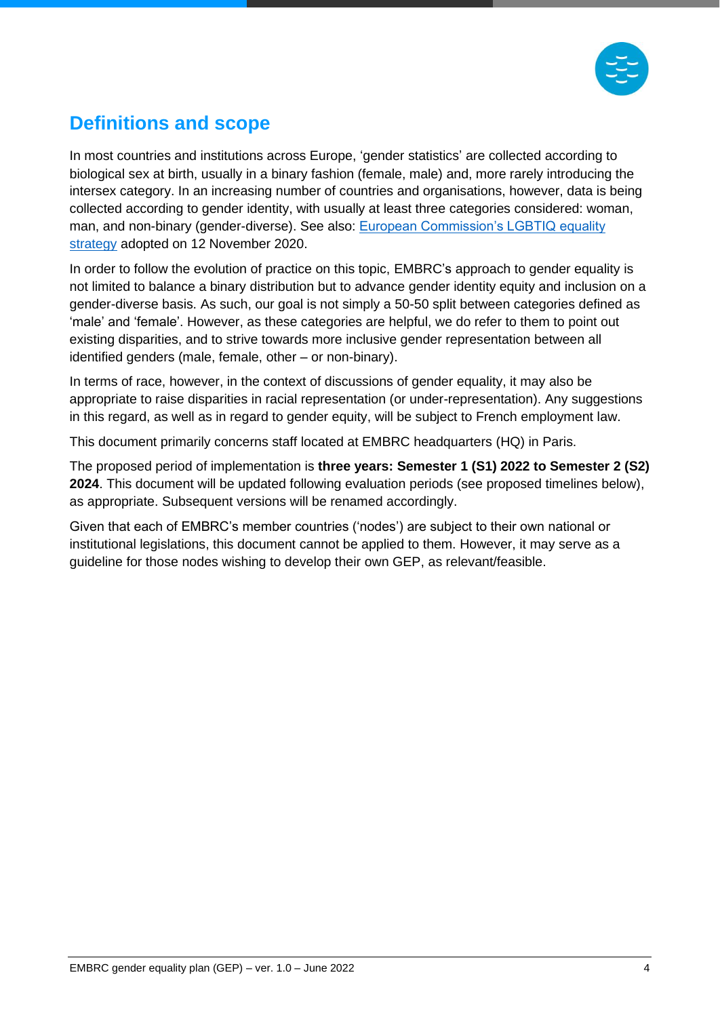

# <span id="page-4-0"></span>**Definitions and scope**

In most countries and institutions across Europe, 'gender statistics' are collected according to biological sex at birth, usually in a binary fashion (female, male) and, more rarely introducing the intersex category. In an increasing number of countries and organisations, however, data is being collected according to gender identity, with usually at least three categories considered: woman, man, and non-binary (gender-diverse). See also: [European Commission's LGBTIQ equality](https://ec.europa.eu/info/policies/justice-and-fundamental-rights/combatting-discrimination/lesbian-gay-bi-trans-and-intersex-equality/lgbtiq-equality-strategy-2020-2025_en)  [strategy](https://ec.europa.eu/info/policies/justice-and-fundamental-rights/combatting-discrimination/lesbian-gay-bi-trans-and-intersex-equality/lgbtiq-equality-strategy-2020-2025_en) adopted on 12 November 2020.

In order to follow the evolution of practice on this topic, EMBRC's approach to gender equality is not limited to balance a binary distribution but to advance gender identity equity and inclusion on a gender-diverse basis. As such, our goal is not simply a 50-50 split between categories defined as 'male' and 'female'. However, as these categories are helpful, we do refer to them to point out existing disparities, and to strive towards more inclusive gender representation between all identified genders (male, female, other – or non-binary).

In terms of race, however, in the context of discussions of gender equality, it may also be appropriate to raise disparities in racial representation (or under-representation). Any suggestions in this regard, as well as in regard to gender equity, will be subject to French employment law.

This document primarily concerns staff located at EMBRC headquarters (HQ) in Paris.

The proposed period of implementation is **three years: Semester 1 (S1) 2022 to Semester 2 (S2) 2024**. This document will be updated following evaluation periods (see proposed timelines below), as appropriate. Subsequent versions will be renamed accordingly.

Given that each of EMBRC's member countries ('nodes') are subject to their own national or institutional legislations, this document cannot be applied to them. However, it may serve as a guideline for those nodes wishing to develop their own GEP, as relevant/feasible.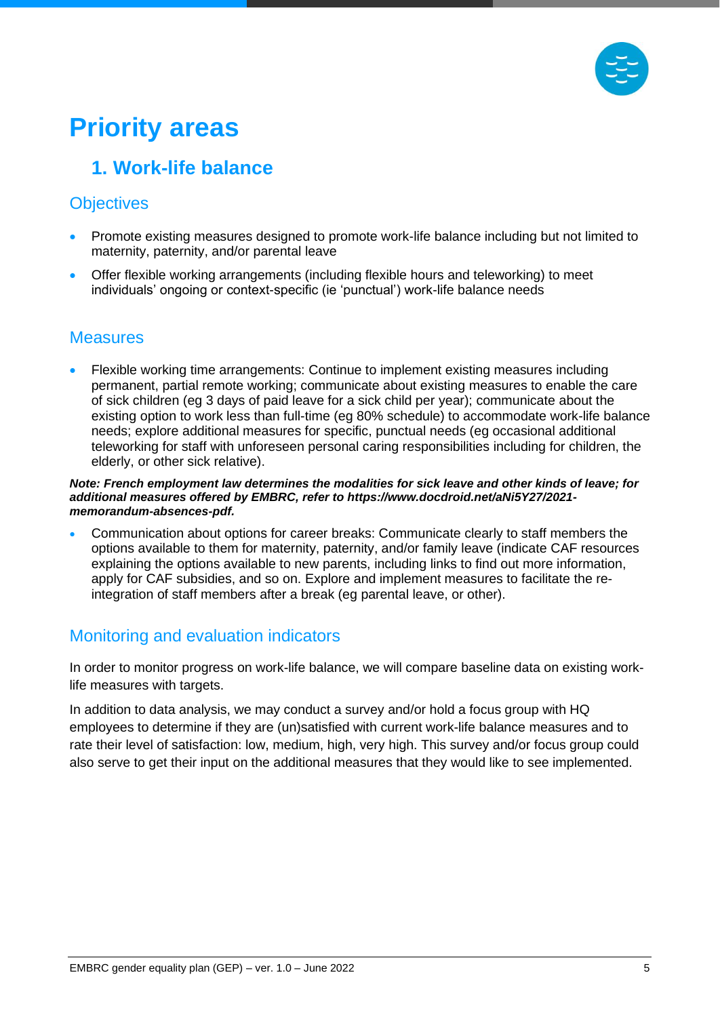

# <span id="page-5-0"></span>**Priority areas**

# <span id="page-5-1"></span>**1. Work-life balance**

## <span id="page-5-2"></span>**Objectives**

- Promote existing measures designed to promote work-life balance including but not limited to maternity, paternity, and/or parental leave
- Offer flexible working arrangements (including flexible hours and teleworking) to meet individuals' ongoing or context-specific (ie 'punctual') work-life balance needs

#### <span id="page-5-3"></span>**Measures**

• Flexible working time arrangements: Continue to implement existing measures including permanent, partial remote working; communicate about existing measures to enable the care of sick children (eg 3 days of paid leave for a sick child per year); communicate about the existing option to work less than full-time (eg 80% schedule) to accommodate work-life balance needs; explore additional measures for specific, punctual needs (eg occasional additional teleworking for staff with unforeseen personal caring responsibilities including for children, the elderly, or other sick relative).

#### *Note: French employment law determines the modalities for sick leave and other kinds of leave; for additional measures offered by EMBRC, refer to https://www.docdroid.net/aNi5Y27/2021 memorandum-absences-pdf.*

• Communication about options for career breaks: Communicate clearly to staff members the options available to them for maternity, paternity, and/or family leave (indicate CAF resources explaining the options available to new parents, including links to find out more information, apply for CAF subsidies, and so on. Explore and implement measures to facilitate the reintegration of staff members after a break (eg parental leave, or other).

#### <span id="page-5-4"></span>Monitoring and evaluation indicators

In order to monitor progress on work-life balance, we will compare baseline data on existing worklife measures with targets.

In addition to data analysis, we may conduct a survey and/or hold a focus group with HQ employees to determine if they are (un)satisfied with current work-life balance measures and to rate their level of satisfaction: low, medium, high, very high. This survey and/or focus group could also serve to get their input on the additional measures that they would like to see implemented.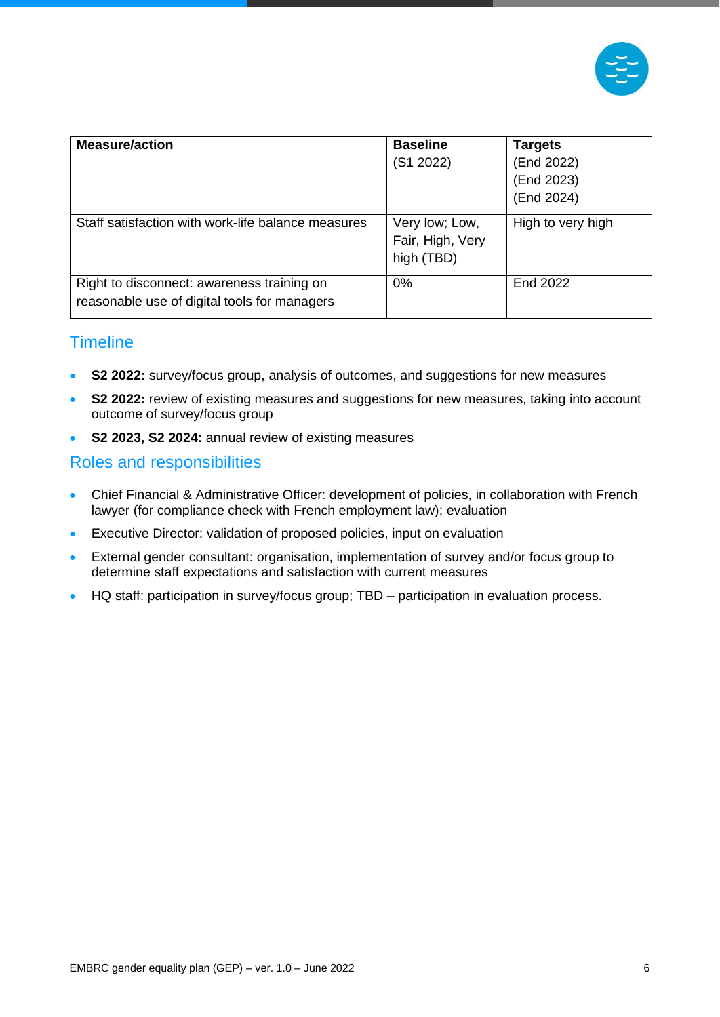

| <b>Measure/action</b>                                                                      | <b>Baseline</b><br>(S1 2022)                     | <b>Targets</b><br>(End 2022)<br>(End 2023)<br>(End 2024) |
|--------------------------------------------------------------------------------------------|--------------------------------------------------|----------------------------------------------------------|
| Staff satisfaction with work-life balance measures                                         | Very low; Low,<br>Fair, High, Very<br>high (TBD) | High to very high                                        |
| Right to disconnect: awareness training on<br>reasonable use of digital tools for managers | 0%                                               | End 2022                                                 |

#### <span id="page-6-0"></span>**Timeline**

- **S2 2022:** survey/focus group, analysis of outcomes, and suggestions for new measures
- **S2 2022:** review of existing measures and suggestions for new measures, taking into account outcome of survey/focus group
- **S2 2023, S2 2024:** annual review of existing measures

#### <span id="page-6-1"></span>Roles and responsibilities

- Chief Financial & Administrative Officer: development of policies, in collaboration with French lawyer (for compliance check with French employment law); evaluation
- Executive Director: validation of proposed policies, input on evaluation
- External gender consultant: organisation, implementation of survey and/or focus group to determine staff expectations and satisfaction with current measures
- HQ staff: participation in survey/focus group; TBD participation in evaluation process.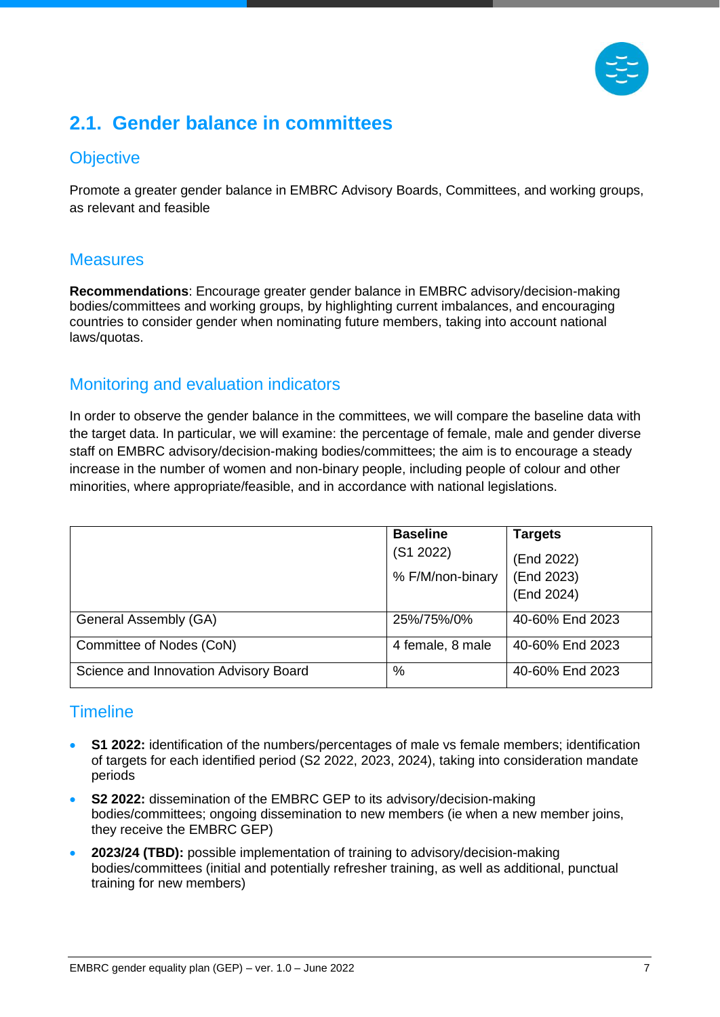

# <span id="page-7-0"></span>**2.1. Gender balance in committees**

## <span id="page-7-1"></span>**Objective**

Promote a greater gender balance in EMBRC Advisory Boards, Committees, and working groups, as relevant and feasible

#### <span id="page-7-2"></span>**Measures**

**Recommendations**: Encourage greater gender balance in EMBRC advisory/decision-making bodies/committees and working groups, by highlighting current imbalances, and encouraging countries to consider gender when nominating future members, taking into account national laws/quotas.

#### <span id="page-7-3"></span>Monitoring and evaluation indicators

In order to observe the gender balance in the committees, we will compare the baseline data with the target data. In particular, we will examine: the percentage of female, male and gender diverse staff on EMBRC advisory/decision-making bodies/committees; the aim is to encourage a steady increase in the number of women and non-binary people, including people of colour and other minorities, where appropriate/feasible, and in accordance with national legislations.

|                                       | <b>Baseline</b>  | <b>Targets</b>  |
|---------------------------------------|------------------|-----------------|
|                                       | (S1 2022)        | (End 2022)      |
|                                       | % F/M/non-binary | (End 2023)      |
|                                       |                  | (End 2024)      |
| General Assembly (GA)                 | 25%/75%/0%       | 40-60% End 2023 |
| Committee of Nodes (CoN)              | 4 female, 8 male | 40-60% End 2023 |
| Science and Innovation Advisory Board | %                | 40-60% End 2023 |

#### <span id="page-7-4"></span>**Timeline**

- **S1 2022:** identification of the numbers/percentages of male vs female members; identification of targets for each identified period (S2 2022, 2023, 2024), taking into consideration mandate periods
- **S2 2022:** dissemination of the EMBRC GEP to its advisory/decision-making bodies/committees; ongoing dissemination to new members (ie when a new member joins, they receive the EMBRC GEP)
- **2023/24 (TBD):** possible implementation of training to advisory/decision-making bodies/committees (initial and potentially refresher training, as well as additional, punctual training for new members)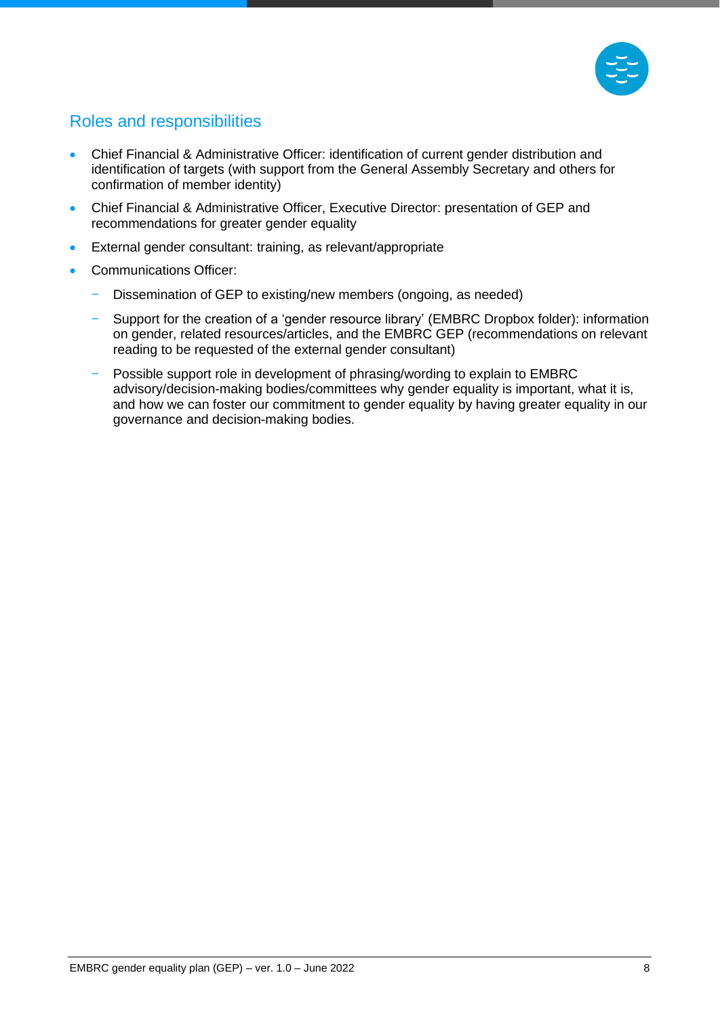

## <span id="page-8-0"></span>Roles and responsibilities

- Chief Financial & Administrative Officer: identification of current gender distribution and identification of targets (with support from the General Assembly Secretary and others for confirmation of member identity)
- Chief Financial & Administrative Officer, Executive Director: presentation of GEP and recommendations for greater gender equality
- External gender consultant: training, as relevant/appropriate
- Communications Officer:
	- Dissemination of GEP to existing/new members (ongoing, as needed)
	- Support for the creation of a 'gender resource library' (EMBRC Dropbox folder): information on gender, related resources/articles, and the EMBRC GEP (recommendations on relevant reading to be requested of the external gender consultant)
	- Possible support role in development of phrasing/wording to explain to EMBRC advisory/decision-making bodies/committees why gender equality is important, what it is, and how we can foster our commitment to gender equality by having greater equality in our governance and decision-making bodies.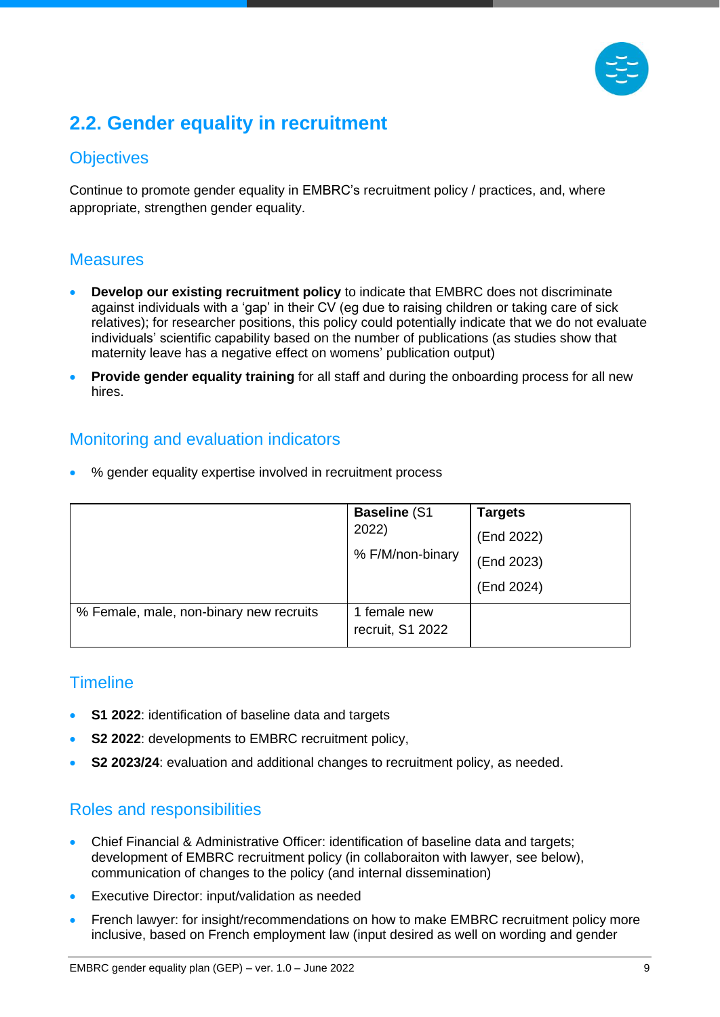

# <span id="page-9-0"></span>**2.2. Gender equality in recruitment**

## <span id="page-9-1"></span>**Objectives**

Continue to promote gender equality in EMBRC's recruitment policy / practices, and, where appropriate, strengthen gender equality.

#### <span id="page-9-2"></span>**Measures**

- **Develop our existing recruitment policy** to indicate that EMBRC does not discriminate against individuals with a 'gap' in their CV (eg due to raising children or taking care of sick relatives); for researcher positions, this policy could potentially indicate that we do not evaluate individuals' scientific capability based on the number of publications (as studies show that maternity leave has a negative effect on womens' publication output)
- **Provide gender equality training** for all staff and during the onboarding process for all new hires.

### <span id="page-9-3"></span>Monitoring and evaluation indicators

• % gender equality expertise involved in recruitment process

|                                         | <b>Baseline (S1)</b><br>2022)<br>% F/M/non-binary | <b>Targets</b><br>(End 2022)<br>(End 2023)<br>(End 2024) |
|-----------------------------------------|---------------------------------------------------|----------------------------------------------------------|
| % Female, male, non-binary new recruits | 1 female new<br>recruit, S1 2022                  |                                                          |

## <span id="page-9-4"></span>**Timeline**

- **S1 2022**: identification of baseline data and targets
- **S2 2022:** developments to EMBRC recruitment policy,
- **S2 2023/24**: evaluation and additional changes to recruitment policy, as needed.

#### <span id="page-9-5"></span>Roles and responsibilities

- Chief Financial & Administrative Officer: identification of baseline data and targets; development of EMBRC recruitment policy (in collaboraiton with lawyer, see below), communication of changes to the policy (and internal dissemination)
- Executive Director: input/validation as needed
- French lawyer: for insight/recommendations on how to make EMBRC recruitment policy more inclusive, based on French employment law (input desired as well on wording and gender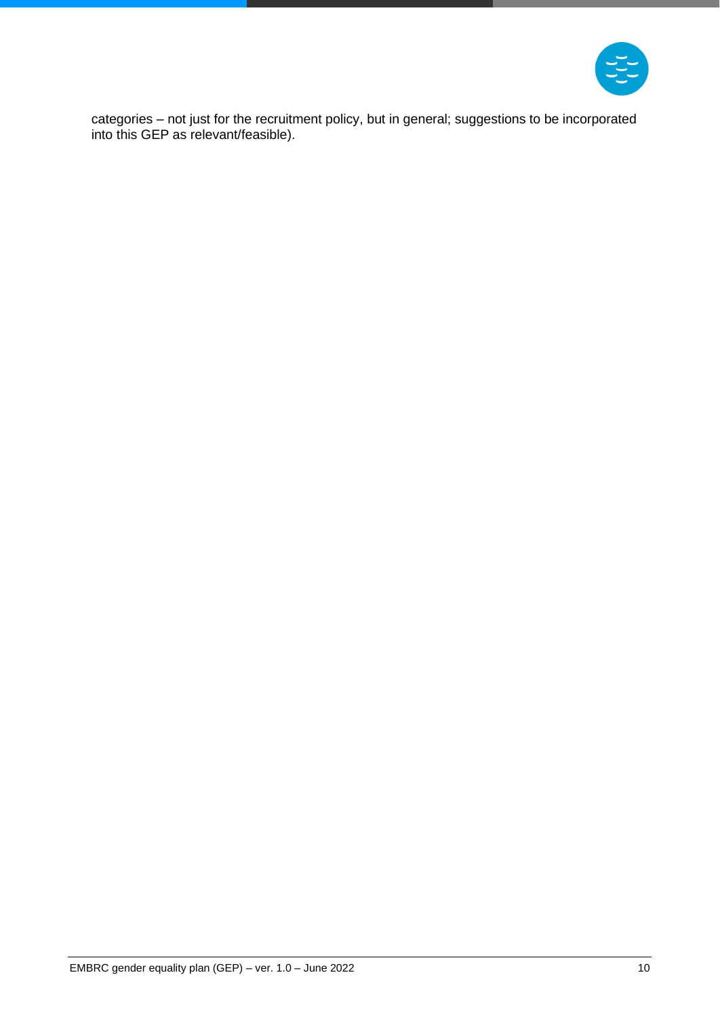

categories – not just for the recruitment policy, but in general; suggestions to be incorporated into this GEP as relevant/feasible).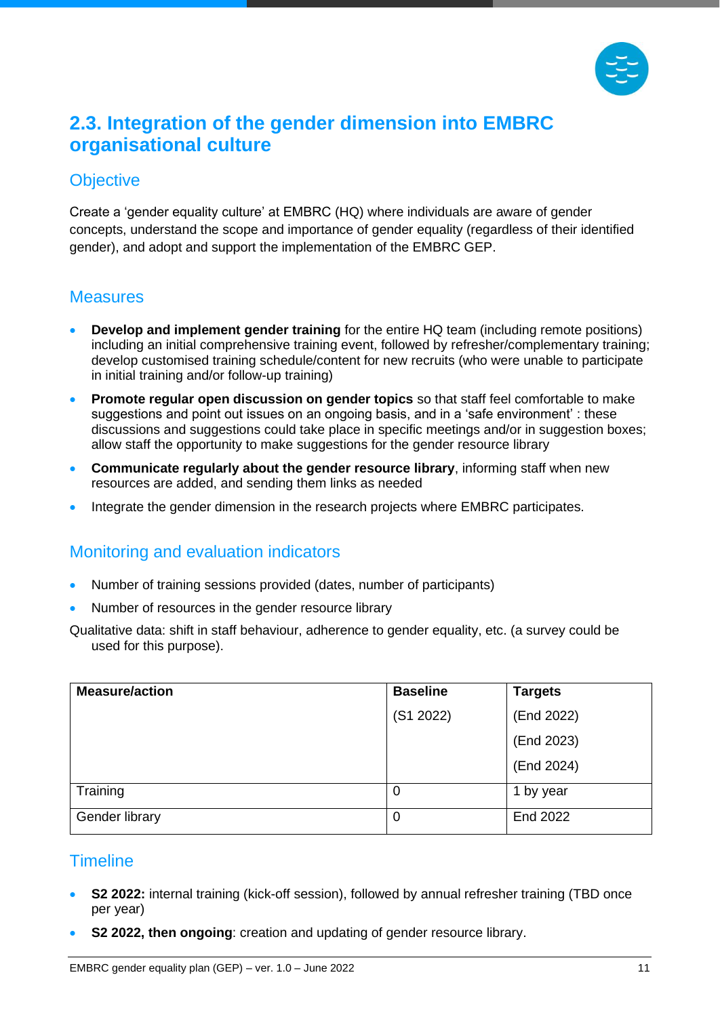

# <span id="page-11-0"></span>**2.3. Integration of the gender dimension into EMBRC organisational culture**

#### <span id="page-11-1"></span>**Objective**

Create a 'gender equality culture' at EMBRC (HQ) where individuals are aware of gender concepts, understand the scope and importance of gender equality (regardless of their identified gender), and adopt and support the implementation of the EMBRC GEP.

#### <span id="page-11-2"></span>**Measures**

- **Develop and implement gender training** for the entire HQ team (including remote positions) including an initial comprehensive training event, followed by refresher/complementary training; develop customised training schedule/content for new recruits (who were unable to participate in initial training and/or follow-up training)
- **Promote regular open discussion on gender topics** so that staff feel comfortable to make suggestions and point out issues on an ongoing basis, and in a 'safe environment' : these discussions and suggestions could take place in specific meetings and/or in suggestion boxes; allow staff the opportunity to make suggestions for the gender resource library
- **Communicate regularly about the gender resource library**, informing staff when new resources are added, and sending them links as needed
- Integrate the gender dimension in the research projects where EMBRC participates.

#### <span id="page-11-3"></span>Monitoring and evaluation indicators

- Number of training sessions provided (dates, number of participants)
- Number of resources in the gender resource library

Qualitative data: shift in staff behaviour, adherence to gender equality, etc. (a survey could be used for this purpose).

| <b>Measure/action</b> | <b>Baseline</b> | <b>Targets</b> |
|-----------------------|-----------------|----------------|
|                       | (S1 2022)       | (End 2022)     |
|                       |                 | (End 2023)     |
|                       |                 | (End 2024)     |
| Training              | 0               | 1 by year      |
| Gender library        | 0               | End 2022       |

#### <span id="page-11-4"></span>**Timeline**

- **S2 2022:** internal training (kick-off session), followed by annual refresher training (TBD once per year)
- **S2 2022, then ongoing**: creation and updating of gender resource library.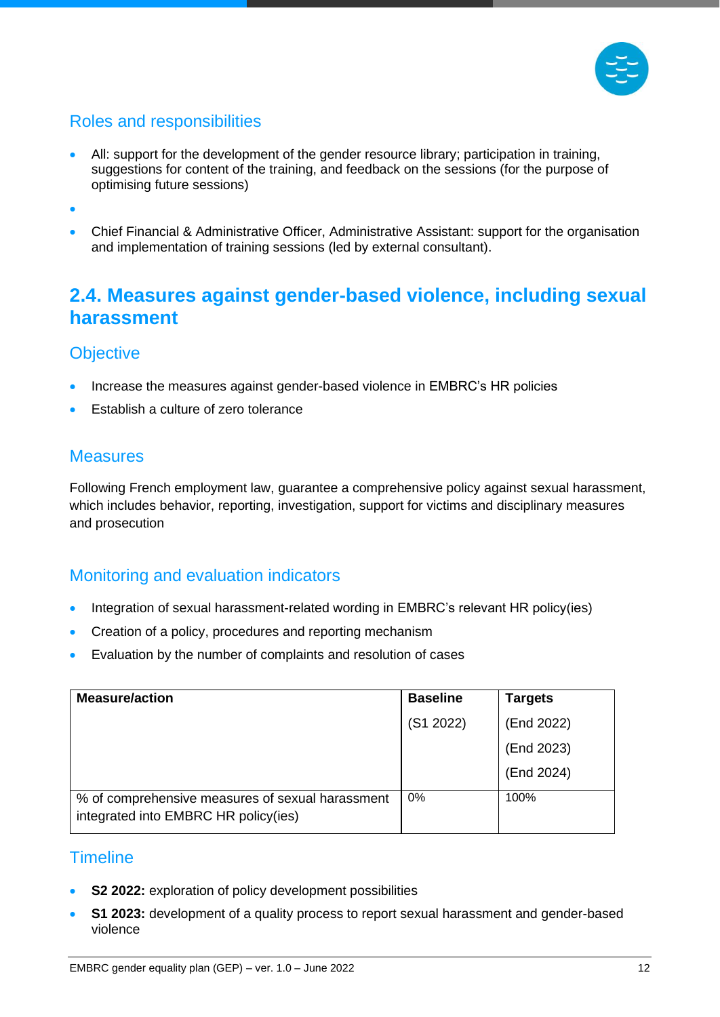

## <span id="page-12-0"></span>Roles and responsibilities

• All: support for the development of the gender resource library; participation in training, suggestions for content of the training, and feedback on the sessions (for the purpose of optimising future sessions)

•

• Chief Financial & Administrative Officer, Administrative Assistant: support for the organisation and implementation of training sessions (led by external consultant).

# <span id="page-12-1"></span>**2.4. Measures against gender-based violence, including sexual harassment**

### <span id="page-12-2"></span>**Objective**

- Increase the measures against gender-based violence in EMBRC's HR policies
- Establish a culture of zero tolerance

#### <span id="page-12-3"></span>**Measures**

Following French employment law, guarantee a comprehensive policy against sexual harassment, which includes behavior, reporting, investigation, support for victims and disciplinary measures and prosecution

#### <span id="page-12-4"></span>Monitoring and evaluation indicators

- Integration of sexual harassment-related wording in EMBRC's relevant HR policy(ies)
- Creation of a policy, procedures and reporting mechanism
- Evaluation by the number of complaints and resolution of cases

| <b>Measure/action</b>                                                                    | <b>Baseline</b> | <b>Targets</b> |
|------------------------------------------------------------------------------------------|-----------------|----------------|
|                                                                                          | (S1 2022)       | (End 2022)     |
|                                                                                          |                 | (End 2023)     |
|                                                                                          |                 | (End 2024)     |
| % of comprehensive measures of sexual harassment<br>integrated into EMBRC HR policy(ies) | 0%              | 100%           |

#### <span id="page-12-5"></span>**Timeline**

- **S2 2022:** exploration of policy development possibilities
- **S1 2023:** development of a quality process to report sexual harassment and gender-based violence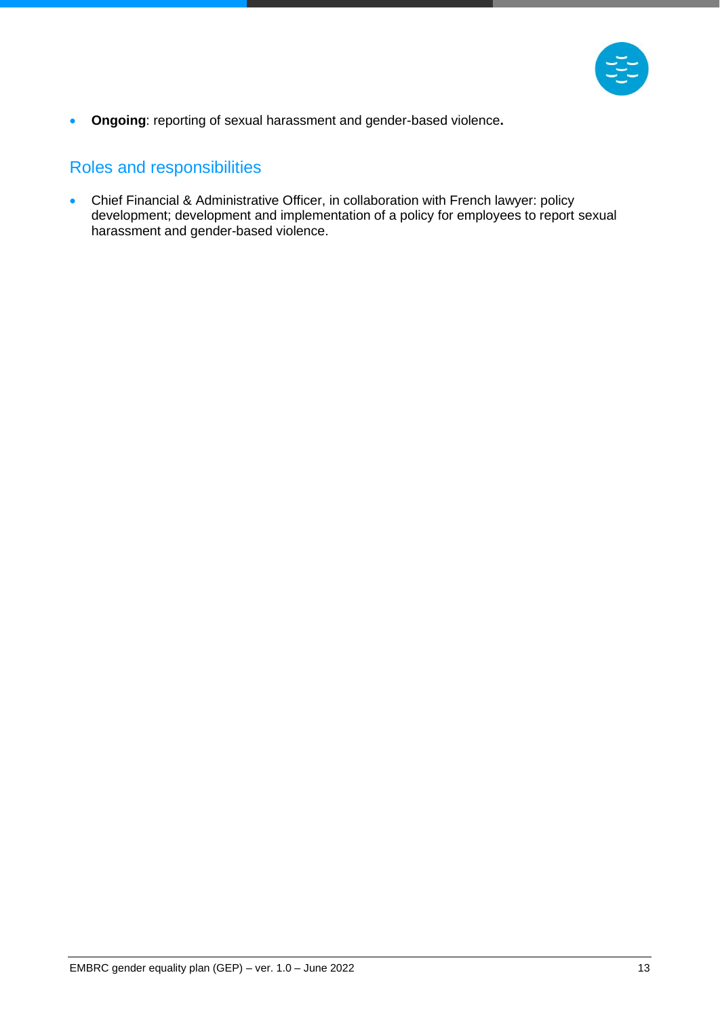

• **Ongoing**: reporting of sexual harassment and gender-based violence**.**

## <span id="page-13-0"></span>Roles and responsibilities

• Chief Financial & Administrative Officer, in collaboration with French lawyer: policy development; development and implementation of a policy for employees to report sexual harassment and gender-based violence.